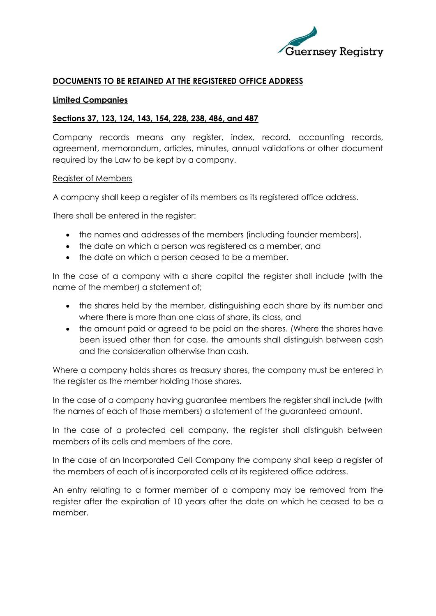

# **DOCUMENTS TO BE RETAINED AT THE REGISTERED OFFICE ADDRESS**

#### **Limited Companies**

## **Sections 37, 123, 124, 143, 154, 228, 238, 486, and 487**

Company records means any register, index, record, accounting records, agreement, memorandum, articles, minutes, annual validations or other document required by the Law to be kept by a company.

#### Register of Members

A company shall keep a register of its members as its registered office address.

There shall be entered in the register:

- the names and addresses of the members (including founder members),
- the date on which a person was registered as a member, and
- the date on which a person ceased to be a member.

In the case of a company with a share capital the register shall include (with the name of the member) a statement of;

- the shares held by the member, distinguishing each share by its number and where there is more than one class of share, its class, and
- the amount paid or agreed to be paid on the shares. (Where the shares have been issued other than for case, the amounts shall distinguish between cash and the consideration otherwise than cash.

Where a company holds shares as treasury shares, the company must be entered in the register as the member holding those shares.

In the case of a company having guarantee members the register shall include (with the names of each of those members) a statement of the guaranteed amount.

In the case of a protected cell company, the register shall distinguish between members of its cells and members of the core.

In the case of an Incorporated Cell Company the company shall keep a register of the members of each of is incorporated cells at its registered office address.

An entry relating to a former member of a company may be removed from the register after the expiration of 10 years after the date on which he ceased to be a member.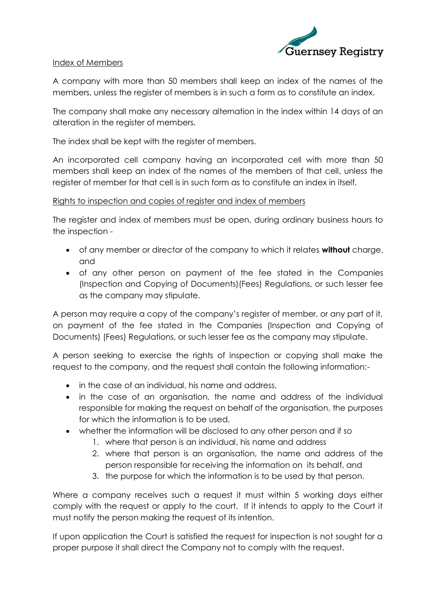

# Index of Members

A company with more than 50 members shall keep an index of the names of the members, unless the register of members is in such a form as to constitute an index.

The company shall make any necessary alternation in the index within 14 days of an alteration in the register of members.

The index shall be kept with the register of members.

An incorporated cell company having an incorporated cell with more than 50 members shall keep an index of the names of the members of that cell, unless the register of member for that cell is in such form as to constitute an index in itself.

# Rights to inspection and copies of register and index of members

The register and index of members must be open, during ordinary business hours to the inspection -

- of any member or director of the company to which it relates **without** charge, and
- of any other person on payment of the fee stated in the Companies (Inspection and Copying of Documents)(Fees) Regulations, or such lesser fee as the company may stipulate.

A person may require a copy of the company's register of member, or any part of it, on payment of the fee stated in the Companies (Inspection and Copying of Documents) (Fees) Regulations, or such lesser fee as the company may stipulate.

A person seeking to exercise the rights of inspection or copying shall make the request to the company, and the request shall contain the following information:-

- in the case of an individual, his name and address,
- in the case of an organisation, the name and address of the individual responsible for making the request on behalf of the organisation, the purposes for which the information is to be used,
- whether the information will be disclosed to any other person and if so
	- 1. where that person is an individual, his name and address
	- 2. where that person is an organisation, the name and address of the person responsible for receiving the information on its behalf, and
	- 3. the purpose for which the information is to be used by that person.

Where a company receives such a request it must within 5 working days either comply with the request or apply to the court. If it intends to apply to the Court it must notify the person making the request of its intention.

If upon application the Court is satisfied the request for inspection is not sought for a proper purpose it shall direct the Company not to comply with the request.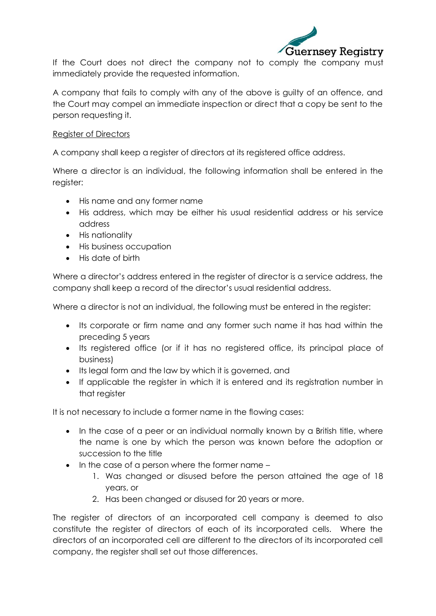

If the Court does not direct the company not to comply the company must immediately provide the requested information.

A company that fails to comply with any of the above is guilty of an offence, and the Court may compel an immediate inspection or direct that a copy be sent to the person requesting it.

# Register of Directors

A company shall keep a register of directors at its registered office address.

Where a director is an individual, the following information shall be entered in the register:

- His name and any former name
- His address, which may be either his usual residential address or his service address
- His nationality
- His business occupation
- His date of birth

Where a director's address entered in the register of director is a service address, the company shall keep a record of the director's usual residential address.

Where a director is not an individual, the following must be entered in the register:

- Its corporate or firm name and any former such name it has had within the preceding 5 years
- Its registered office (or if it has no registered office, its principal place of business)
- Its legal form and the law by which it is governed, and
- If applicable the register in which it is entered and its registration number in that register

It is not necessary to include a former name in the flowing cases:

- In the case of a peer or an individual normally known by a British title, where the name is one by which the person was known before the adoption or succession to the title
- In the case of a person where the former name
	- 1. Was changed or disused before the person attained the age of 18 years, or
	- 2. Has been changed or disused for 20 years or more.

The register of directors of an incorporated cell company is deemed to also constitute the register of directors of each of its incorporated cells. Where the directors of an incorporated cell are different to the directors of its incorporated cell company, the register shall set out those differences.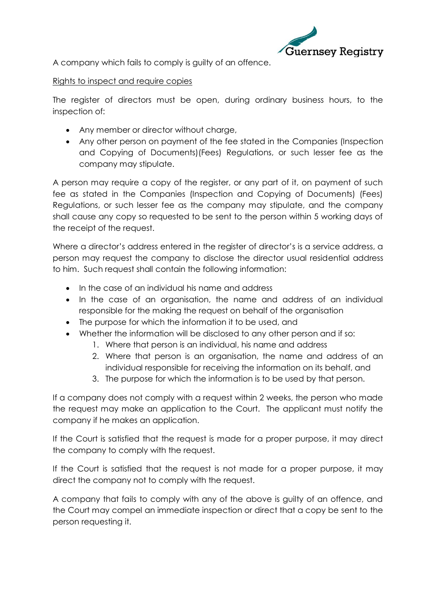

A company which fails to comply is guilty of an offence.

## Rights to inspect and require copies

The register of directors must be open, during ordinary business hours, to the inspection of:

- Any member or director without charge,
- Any other person on payment of the fee stated in the Companies (Inspection and Copying of Documents)(Fees) Regulations, or such lesser fee as the company may stipulate.

A person may require a copy of the register, or any part of it, on payment of such fee as stated in the Companies (Inspection and Copying of Documents) (Fees) Regulations, or such lesser fee as the company may stipulate, and the company shall cause any copy so requested to be sent to the person within 5 working days of the receipt of the request.

Where a director's address entered in the register of director's is a service address, a person may request the company to disclose the director usual residential address to him. Such request shall contain the following information:

- In the case of an individual his name and address
- In the case of an organisation, the name and address of an individual responsible for the making the request on behalf of the organisation
- The purpose for which the information it to be used, and
- Whether the information will be disclosed to any other person and if so:
	- 1. Where that person is an individual, his name and address
	- 2. Where that person is an organisation, the name and address of an individual responsible for receiving the information on its behalf, and
	- 3. The purpose for which the information is to be used by that person.

If a company does not comply with a request within 2 weeks, the person who made the request may make an application to the Court. The applicant must notify the company if he makes an application.

If the Court is satisfied that the request is made for a proper purpose, it may direct the company to comply with the request.

If the Court is satisfied that the request is not made for a proper purpose, it may direct the company not to comply with the request.

A company that fails to comply with any of the above is guilty of an offence, and the Court may compel an immediate inspection or direct that a copy be sent to the person requesting it.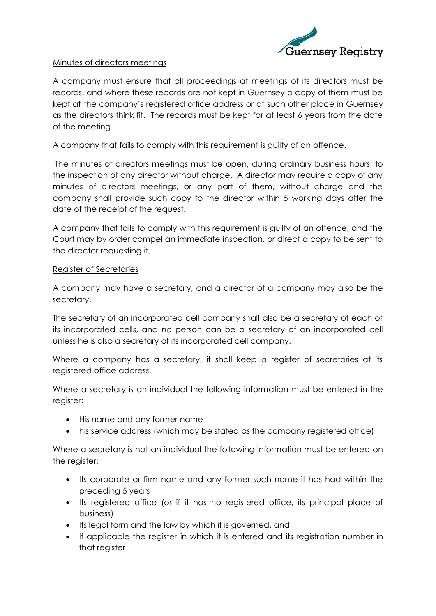

### Minutes of directors meetings

A company must ensure that all proceedings at meetings of its directors must be records, and where these records are not kept in Guernsey a copy of them must be kept at the company's registered office address or at such other place in Guernsey as the directors think fit. The records must be kept for at least 6 years from the date of the meeting.

A company that fails to comply with this requirement is guilty of an offence.

The minutes of directors meetings must be open, during ordinary business hours, to the inspection of any director without charge. A director may require a copy of any minutes of directors meetings, or any part of them, without charge and the company shall provide such copy to the director within 5 working days after the date of the receipt of the request.

A company that fails to comply with this requirement is guilty of an offence, and the Court may by order compel an immediate inspection, or direct a copy to be sent to the director requesting it.

## Register of Secretaries

A company may have a secretary, and a director of a company may also be the secretary.

The secretary of an incorporated cell company shall also be a secretary of each of its incorporated cells, and no person can be a secretary of an incorporated cell unless he is also a secretary of its incorporated cell company.

Where a company has a secretary, it shall keep a register of secretaries at its registered office address.

Where a secretary is an individual the following information must be entered in the register:

- His name and any former name
- his service address (which may be stated as the company registered office)

Where a secretary is not an individual the following information must be entered on the reaister:

- Its corporate or firm name and any former such name it has had within the preceding 5 years
- Its registered office (or if it has no registered office, its principal place of business)
- Its legal form and the law by which it is governed, and
- If applicable the register in which it is entered and its registration number in that register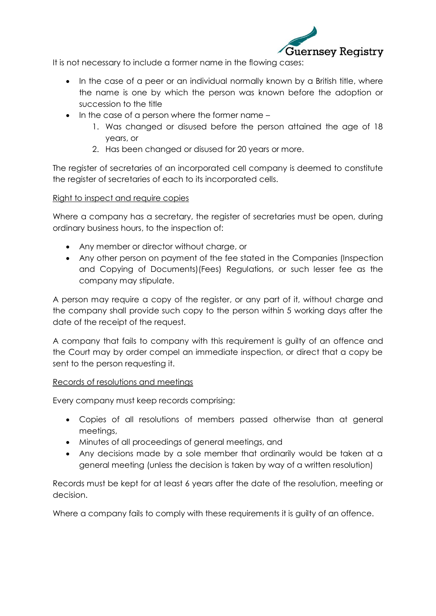

It is not necessary to include a former name in the flowing cases:

- In the case of a peer or an individual normally known by a British title, where the name is one by which the person was known before the adoption or succession to the title
- In the case of a person where the former name -
	- 1. Was changed or disused before the person attained the age of 18 years, or
	- 2. Has been changed or disused for 20 years or more.

The register of secretaries of an incorporated cell company is deemed to constitute the register of secretaries of each to its incorporated cells.

# Right to inspect and require copies

Where a company has a secretary, the register of secretaries must be open, during ordinary business hours, to the inspection of:

- Any member or director without charge, or
- Any other person on payment of the fee stated in the Companies (Inspection and Copying of Documents)(Fees) Regulations, or such lesser fee as the company may stipulate.

A person may require a copy of the register, or any part of it, without charge and the company shall provide such copy to the person within 5 working days after the date of the receipt of the request.

A company that fails to company with this requirement is guilty of an offence and the Court may by order compel an immediate inspection, or direct that a copy be sent to the person requesting it.

## Records of resolutions and meetings

Every company must keep records comprising:

- Copies of all resolutions of members passed otherwise than at general meetings,
- Minutes of all proceedings of general meetings, and
- Any decisions made by a sole member that ordinarily would be taken at a general meeting (unless the decision is taken by way of a written resolution)

Records must be kept for at least 6 years after the date of the resolution, meeting or decision.

Where a company fails to comply with these requirements it is guilty of an offence.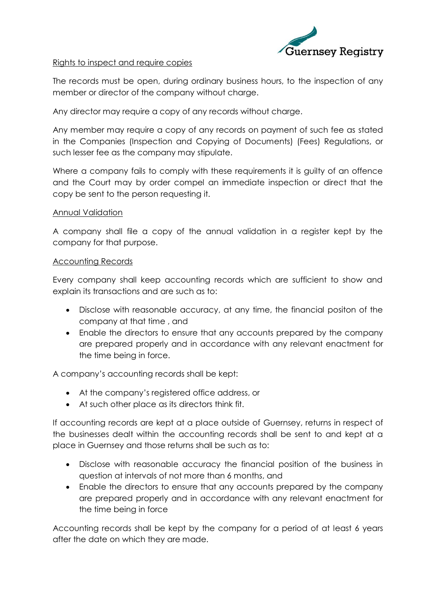

### Rights to inspect and require copies

The records must be open, during ordinary business hours, to the inspection of any member or director of the company without charge.

Any director may require a copy of any records without charge.

Any member may require a copy of any records on payment of such fee as stated in the Companies (Inspection and Copying of Documents) (Fees) Regulations, or such lesser fee as the company may stipulate.

Where a company fails to comply with these requirements it is guilty of an offence and the Court may by order compel an immediate inspection or direct that the copy be sent to the person requesting it.

## Annual Validation

A company shall file a copy of the annual validation in a register kept by the company for that purpose.

#### **Accounting Records**

Every company shall keep accounting records which are sufficient to show and explain its transactions and are such as to:

- Disclose with reasonable accuracy, at any time, the financial positon of the company at that time , and
- Enable the directors to ensure that any accounts prepared by the company are prepared properly and in accordance with any relevant enactment for the time being in force.

A company's accounting records shall be kept:

- At the company's registered office address, or
- At such other place as its directors think fit.

If accounting records are kept at a place outside of Guernsey, returns in respect of the businesses dealt within the accounting records shall be sent to and kept at a place in Guernsey and those returns shall be such as to:

- Disclose with reasonable accuracy the financial position of the business in question at intervals of not more than 6 months, and
- Enable the directors to ensure that any accounts prepared by the company are prepared properly and in accordance with any relevant enactment for the time being in force

Accounting records shall be kept by the company for a period of at least 6 years after the date on which they are made.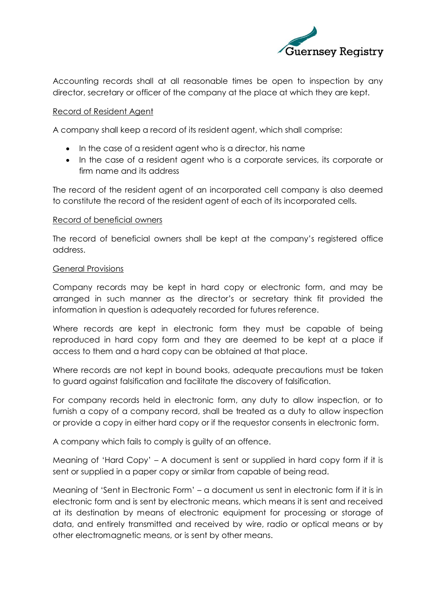

Accounting records shall at all reasonable times be open to inspection by any director, secretary or officer of the company at the place at which they are kept.

### Record of Resident Agent

A company shall keep a record of its resident agent, which shall comprise:

- In the case of a resident agent who is a director, his name
- In the case of a resident agent who is a corporate services, its corporate or firm name and its address

The record of the resident agent of an incorporated cell company is also deemed to constitute the record of the resident agent of each of its incorporated cells.

#### Record of beneficial owners

The record of beneficial owners shall be kept at the company's registered office address.

#### General Provisions

Company records may be kept in hard copy or electronic form, and may be arranged in such manner as the director's or secretary think fit provided the information in question is adequately recorded for futures reference.

Where records are kept in electronic form they must be capable of being reproduced in hard copy form and they are deemed to be kept at a place if access to them and a hard copy can be obtained at that place.

Where records are not kept in bound books, adequate precautions must be taken to guard against falsification and facilitate the discovery of falsification.

For company records held in electronic form, any duty to allow inspection, or to furnish a copy of a company record, shall be treated as a duty to allow inspection or provide a copy in either hard copy or if the requestor consents in electronic form.

A company which fails to comply is guilty of an offence.

Meaning of 'Hard Copy' – A document is sent or supplied in hard copy form if it is sent or supplied in a paper copy or similar from capable of being read.

Meaning of 'Sent in Electronic Form' – a document us sent in electronic form if it is in electronic form and is sent by electronic means, which means it is sent and received at its destination by means of electronic equipment for processing or storage of data, and entirely transmitted and received by wire, radio or optical means or by other electromagnetic means, or is sent by other means.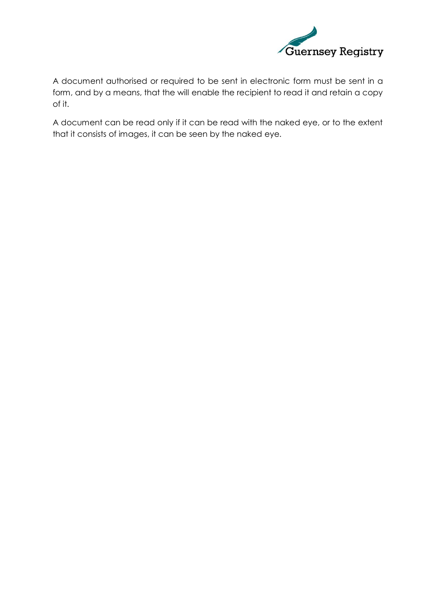

A document authorised or required to be sent in electronic form must be sent in a form, and by a means, that the will enable the recipient to read it and retain a copy of it.

A document can be read only if it can be read with the naked eye, or to the extent that it consists of images, it can be seen by the naked eye.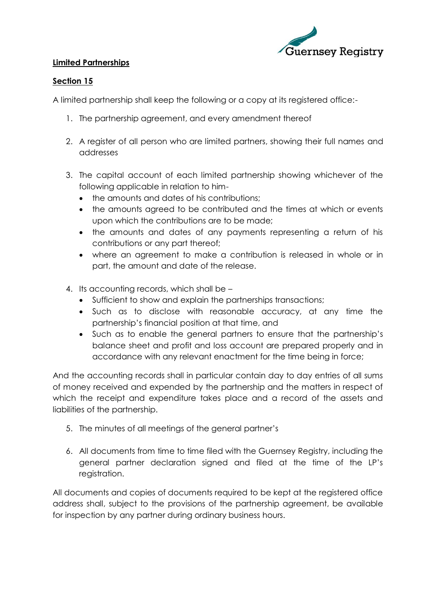

# **Limited Partnerships**

# **Section 15**

A limited partnership shall keep the following or a copy at its registered office:-

- 1. The partnership agreement, and every amendment thereof
- 2. A register of all person who are limited partners, showing their full names and addresses
- 3. The capital account of each limited partnership showing whichever of the following applicable in relation to him
	- the amounts and dates of his contributions;
	- the amounts agreed to be contributed and the times at which or events upon which the contributions are to be made;
	- the amounts and dates of any payments representing a return of his contributions or any part thereof;
	- where an agreement to make a contribution is released in whole or in part, the amount and date of the release.
- 4. Its accounting records, which shall be
	- Sufficient to show and explain the partnerships transactions;
	- Such as to disclose with reasonable accuracy, at any time the partnership's financial position at that time, and
	- Such as to enable the general partners to ensure that the partnership's balance sheet and profit and loss account are prepared properly and in accordance with any relevant enactment for the time being in force;

And the accounting records shall in particular contain day to day entries of all sums of money received and expended by the partnership and the matters in respect of which the receipt and expenditure takes place and a record of the assets and liabilities of the partnership.

- 5. The minutes of all meetings of the general partner's
- 6. All documents from time to time filed with the Guernsey Registry, including the general partner declaration signed and filed at the time of the LP's registration.

All documents and copies of documents required to be kept at the registered office address shall, subject to the provisions of the partnership agreement, be available for inspection by any partner during ordinary business hours.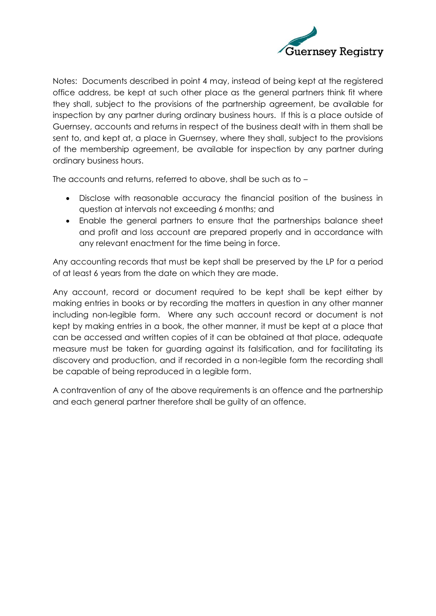

Notes: Documents described in point 4 may, instead of being kept at the registered office address, be kept at such other place as the general partners think fit where they shall, subject to the provisions of the partnership agreement, be available for inspection by any partner during ordinary business hours. If this is a place outside of Guernsey, accounts and returns in respect of the business dealt with in them shall be sent to, and kept at, a place in Guernsey, where they shall, subject to the provisions of the membership agreement, be available for inspection by any partner during ordinary business hours.

The accounts and returns, referred to above, shall be such as to –

- Disclose with reasonable accuracy the financial position of the business in question at intervals not exceeding 6 months; and
- Enable the general partners to ensure that the partnerships balance sheet and profit and loss account are prepared properly and in accordance with any relevant enactment for the time being in force.

Any accounting records that must be kept shall be preserved by the LP for a period of at least 6 years from the date on which they are made.

Any account, record or document required to be kept shall be kept either by making entries in books or by recording the matters in question in any other manner including non-legible form. Where any such account record or document is not kept by making entries in a book, the other manner, it must be kept at a place that can be accessed and written copies of it can be obtained at that place, adequate measure must be taken for guarding against its falsification, and for facilitating its discovery and production, and if recorded in a non-legible form the recording shall be capable of being reproduced in a legible form.

A contravention of any of the above requirements is an offence and the partnership and each general partner therefore shall be guilty of an offence.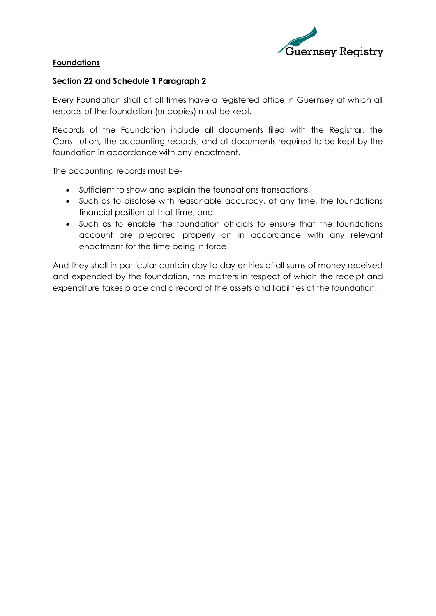

# **Foundations**

## **Section 22 and Schedule 1 Paragraph 2**

Every Foundation shall at all times have a registered office in Guernsey at which all records of the foundation (or copies) must be kept.

Records of the Foundation include all documents filed with the Registrar, the Constitution, the accounting records, and all documents required to be kept by the foundation in accordance with any enactment.

The accounting records must be-

- Sufficient to show and explain the foundations transactions,
- Such as to disclose with reasonable accuracy, at any time, the foundations financial position at that time, and
- Such as to enable the foundation officials to ensure that the foundations account are prepared properly an in accordance with any relevant enactment for the time being in force

And they shall in particular contain day to day entries of all sums of money received and expended by the foundation, the matters in respect of which the receipt and expenditure takes place and a record of the assets and liabilities of the foundation.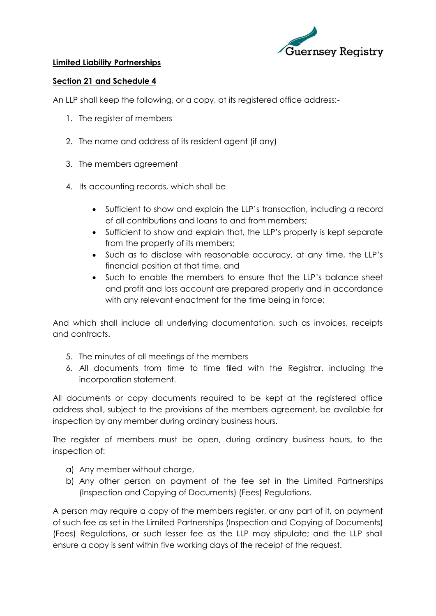

# **Limited Liability Partnerships**

# **Section 21 and Schedule 4**

An LLP shall keep the following, or a copy, at its registered office address:-

- 1. The register of members
- 2. The name and address of its resident agent (if any)
- 3. The members agreement
- 4. Its accounting records, which shall be
	- Sufficient to show and explain the LLP's transaction, including a record of all contributions and loans to and from members;
	- Sufficient to show and explain that, the LLP's property is kept separate from the property of its members;
	- Such as to disclose with reasonable accuracy, at any time, the LLP's financial position at that time, and
	- Such to enable the members to ensure that the LLP's balance sheet and profit and loss account are prepared properly and in accordance with any relevant enactment for the time being in force;

And which shall include all underlying documentation, such as invoices, receipts and contracts.

- 5. The minutes of all meetings of the members
- 6. All documents from time to time filed with the Registrar, including the incorporation statement.

All documents or copy documents required to be kept at the registered office address shall, subject to the provisions of the members agreement, be available for inspection by any member during ordinary business hours.

The register of members must be open, during ordinary business hours, to the inspection of:

- a) Any member without charge,
- b) Any other person on payment of the fee set in the Limited Partnerships (Inspection and Copying of Documents) (Fees) Regulations.

A person may require a copy of the members register, or any part of it, on payment of such fee as set in the Limited Partnerships (Inspection and Copying of Documents) (Fees) Regulations, or such lesser fee as the LLP may stipulate; and the LLP shall ensure a copy is sent within five working days of the receipt of the request.